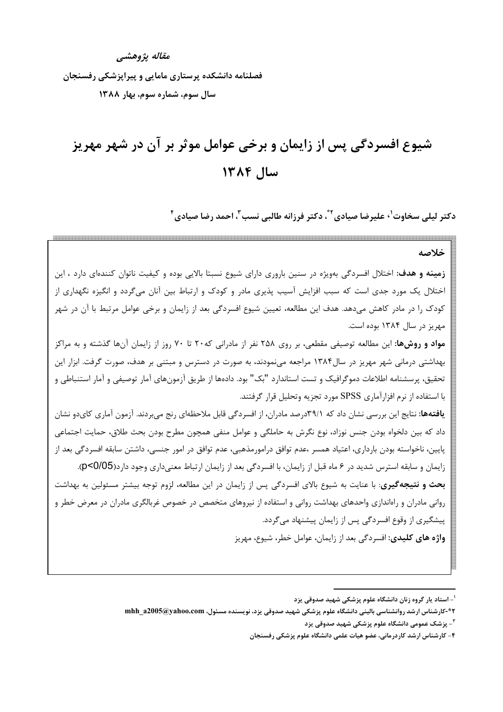مقاله يژوهشي

فصلنامه دانشکده پرستاری مامایی و پیراپزشکی رفسنجان سال سوم، شماره سوم، بهار ١٣٨٨

# شیوع افسردگی پس از زایمان و برخی عوامل موثر بر آن در شهر مهریز سال ١٣٨۴

دکتر لیلی سخاوت<sup>י،</sup> علیرضا صیادی' ؓ، دکتر فرزانه طالبی نسب ؓ، احمد رضا صیادی ؓ

خلاصه **زمینه و هدف:** اختلال افسردگی بهویژه در سنین باروری دارای شیوع نسبتا بالایی بوده و کیفیت ناتوان کنندهای دارد ، این اختلال یک مورد جدی است که سبب افزایش آسیب پذیری مادر و کودک و ارتباط بین آنان می¢ردد و انگیزه نگهداری از کودک را در مادر کاهش میدهد. هدف این مطالعه، تعیین شیوع افسردگی بعد از زایمان و برخی عوامل مرتبط با آن در شهر مهريز در سال ۱۳۸۴ بوده است. **مواد و روشها:** این مطالعه توصیفی مقطعی، بر روی ۲۵۸ نفر از مادرانی که۲۰ تا ۷۰ روز از زایمان آنها گذشته و به مراکز بهداشتی درمانی شهر مهریز در سال۱۳۸۴ مراجعه مینمودند، به صورت در دسترس و مبتنی بر هدف، صورت گرفت. ابزار این تحقیق، پرسشنامه اطلاعات دموگرافیک و تست استاندارد "بک" بود. دادهها از طریق آزمونهای آمار توصیفی و آمار استنباطی و با استفاده از نرم افزارآماری SPSS مورد تجزیه وتحلیل قرار گرفتند. **یافتهها:** نتایج این بررسی نشان داد که ۳۹/۱درصد مادران، از افسردگی قابل ملاحظهای رنج می بردند. آزمون آماری کای دو نشان داد که بین دلخواه بودن جنس نوزاد، نوع نگرش به حاملگی و عوامل منفی همچون مطرح بودن بحث طلاق، حمایت اجتماعی پايين، ناخواسته بودن بارداري، اعتياد همسر ،عدم توافق درامورمذهبي، عدم توافق در امور جنسي، داشتن سابقه افسردگي بعد از زایمان و سابقه استرس شدید در ۶ ماه قبل از زایمان، با افسردگی بعد از زایمان ارتباط معنیداری وجود دارد(0/05)9). بحث و نتیجه گیری: با عنایت به شیوع بالای افسردگی پس از زایمان در این مطالعه، لزوم توجه بیشتر مسئولین به بهداشت روانی مادران و راهاندازی واحدهای بهداشت روانی و استفاده از نیروهای متخصص در خصوص غربالگری مادران در معرض خطر و پیشگیری از وقوع افسردگی پس از زایمان پیشنهاد میگردد. واژه های کلیدی: افسردگی بعد از زایمان، عوامل خطر، شیوع، مهریز

<sup>&</sup>lt;sup>۱</sup>- استاد یار گروه زنان دانشگاه علوم پزشکی شهید صدوقی یزد

۴\*-کارشناس ارشد روانشناسی بالینی دانشگاه علوم پزشکی شهید صدوقی یزد، نویسنده مسئول، mhh\_a2005@yahoo.com

<sup>&</sup>lt;sup>۳</sup>- پزشک عمومی دانشگاه علوم پزشکی شهید صدوقی یزد

۴- کارشناس ارشد کاردرمانی، عضو هیات علمی دانشگاه علوم پزشکی رفسنجان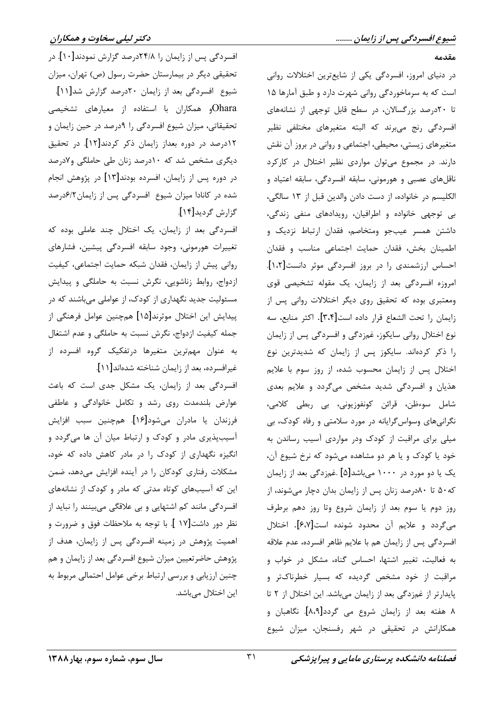مقدمه

در دنیای امروز، افسردگی یکی از شایعترین اختلالات روانی است که به سرماخوردگی روانی شهرت دارد و طبق آمارها ۱۵ .<br>تا ۲۰درصد بزرگسالان، در سطح قابل توجهی از نشانههای افسردگی رنج میبرند که البته متغیرهای مختلفی نظیر متغیرهای زیستی، محیطی، اجتماعی و روانی در بروز آن نقش دارند. در مجموع میتوان مواردی نظیر اختلال در کارکرد ناقلهای عصبی و هورمونی، سابقه افسردگی، سابقه اعتیاد و الكليسم در خانواده، از دست دادن والدين قبل از ١٣ سالگي، بي توجهي خانواده و اطرافيان، رويدادهاي منفي زندگي، داشتن همسر عيبجو ومتخاصم، فقدان ارتباط نزديک و اطمينان بخش، فقدان حمايت اجتماعي مناسب و فقدان احساس ارزشمندی را در بروز افسردگی موثر دانست[۱،۲]. امروزه افسردگی بعد از زایمان، یک مقوله تشخیصی قوی ومعتبری بوده که تحقیق روی دیگر اختلالات روانی پس از زايمان را تحت الشعاع قرار داده است[٣،٣]. اكثر منابع، سه نوع اختلال رواني سايكوز، غمزدگي و افسردگي پس از زايمان را ذکر کردهاند. سایکوز پس از زایمان که شدیدترین نوع اختلال پس از زایمان محسوب شده، از روز سوم با علایم هذیان و افسردگی شدید مشخص میگردد و علایم بعدی شامل سوءظن، قرائن كونفوزيوني، بي ربطي كلامي، نگرانیهای وسواس گرایانه در مورد سلامتی و رفاه کودک، بی میلی برای مراقبت از کودک ودر مواردی آسیب رساندن به خود یا کودک و یا هر دو مشاهده میشود که نرخ شیوع آن، یک یا دو مورد در ۱۰۰۰ میباشد[۵] .غمزدگی بعد از زایمان که۵۰ تا ۸۰درصد زنان پس از زایمان بدان دچار می شوند، از روز دوم يا سوم بعد از زايمان شروع وتا روز دهم برطرف میگردد و علایم آن محدود شونده است[۶،۷]. اختلال افسردگی پس از زایمان هم با علایم ظاهر افسرده، عدم علاقه به فعالیت، تغییر اشتها، احساس گناه، مشکل در خواب و مراقبت از خود مشخص گردیده که بسیار خطرناکتر و پایدارتر از غمزدگی بعد از زایمان میباشد. این اختلال از ۲ تا ۸ هفته بعد از زایمان شروع می گردد[۸،۹]. نگاهبان و همکارانش در تحقیقی در شهر رفسنجان، میزان شیوع

افسردگی پس از زایمان را ۲۴/۸درصد گزارش نمودند[۱۰]. در تحقیقی دیگر در بیمارستان حضرت رسول (ص) تهران، میزان شیوع افسردگی بعد از زایمان ۲۰درصد گزارش شد[۱۱]. Oharaو همکاران با استفاده از معیارهای تشخیصی تحقیقاتی، میزان شیوع افسردگی را ۹درصد در حین زایمان و ١٢درصد در دوره بعداز زايمان ذكر كردند[١٢]. در تحقيق دیگری مشخص شد که ۱۰درصد زنان طی حاملگی و۷درصد در دوره پس از زایمان، افسرده بودند[۱۳] در پژوهش انجام شده در کانادا میزان شیوع افسردگی پس از زایمان ۶/۲درصد گزارش گردید[۱۴].

افسردگی بعد از زایمان، یک اختلال چند عاملی بوده که تغییرات هورمونی، وجود سابقه افسردگی پیشین، فشارهای رواني پيش از زايمان، فقدان شبكه حمايت اجتماعي، كيفيت ازدواج، روابط زناشويي، نگرش نسبت به حاملگي و پيدايش مسئولیت جدید نگهداری از کودک، از عواملی میباشند که در پیدایش این اختلال موثرند[۱۵] همچنین عوامل فرهنگی از جمله كيفيت ازدواج، نگرش نسبت به حاملگي و عدم اشتغال به عنوان مهمترین متغیرها درتفکیک گروه افسرده از غيرافسرده، بعد از زايمان شناخته شدهاند[١١].

افسردگی بعد از زایمان، یک مشکل جدی است که باعث عوارض بلندمدت روی رشد و تکامل خانوادگی و عاطفی فرزندان يا مادران مىشود[۱۶]. همچنين سبب افزايش آسیبپذیری مادر و کودک و ارتباط میان آن ها میگردد و انگیزه نگهداری از کودک را در مادر کاهش داده که خود، مشکلات رفتاری کودکان را در آینده افزایش میدهد، ضمن این که آسیبهای کوتاه مدتی که مادر و کودک از نشانههای افسردگی مانند کم اشتهایی و بی علاقگی میبینند را نباید از نظر دور داشت[۱۷ ]. با توجه به ملاحظات فوق و ضرورت و اهمیت پژوهش در زمینه افسردگی پس از زایمان، هدف از پژوهش حاضرتعیین میزان شیوع افسردگی بعد از زایمان و هم چنین ارزیابی و بررسی ارتباط برخی عوامل احتمالی مربوط به این اختلال میباشد.

فصلنامه دانشکده پرستاری مامایی و پیراپزشکی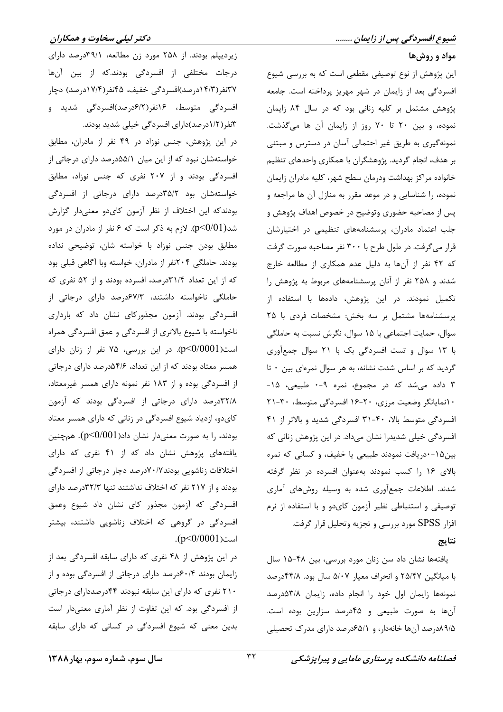#### مواد و روشها

این پژوهش از نوع توصیفی مقطعی است که به بررسی شیوع افسردگی بعد از زایمان در شهر مهریز پرداخته است. جامعه پژوهش مشتمل بر کلیه زنانی بود که در سال ۸۴ زایمان نموده، و بين ٢٠ تا ٧٠ روز از زايمان آن ها مي گذشت. نمونهگیری به طریق غیر احتمالی آسان در دسترس و مبتنی بر هدف، انجام گردید. پژوهشگران با همکاری واحدهای تنظیم خانواده مراكز بهداشت ودرمان سطح شهر، كليه مادران زايمان نموده، را شناسایی و در موعد مقرر به منازل آن ها مراجعه و پس از مصاحبه حضوری وتوضیح در خصوص اهداف پژوهش و جلب اعتماد مادران، پرسشنامههای تنظیمی در اختیارشان قرار می گرفت. در طول طرح با ۳۰۰ نفر مصاحبه صورت گرفت که ۴۲ نفر از آنها به دلیل عدم همکاری از مطالعه خارج شدند و ۲۵۸ نفر از آنان پرسشنامههای مربوط به پژوهش را تکمیل نمودند. در این پژوهش، دادهها با استفاده از پرسشنامهها مشتمل بر سه بخش: مشخصات فردی با ۲۵ سوال، حمایت اجتماعی با ۱۵ سوال، نگرش نسبت به حاملگی با ١٣ سوال و تست افسردگی بک با ٢١ سوال جمعآوری گردید که بر اساس شدت نشانه، به هر سوال نمرهای بین ۰ تا ۳ داده می شد که در مجموع، نمره ۹-۰ طبیعی، ۱۵-١٠نمايانكر وضعيت مرزى، ٢٠-١۶ افسردگي متوسط، ٣٠-٢١ افسردگی متوسط بالا، ۴۰-۳۱ افسردگی شدید و بالاتر از ۴۱ افسردگی خیلی شدیدرا نشان میداد. در این پژوهش زنانی که بین۱۵-۰دریافت نمودند طبیعی یا خفیف، و کسانی که نمره بالای ۱۶ را کسب نمودند بهعنوان افسرده در نظر گرفته شدند. اطلاعات جمعآوری شده به وسیله روشهای آماری توصیفی و استنباطی نظیر آزمون کای دو و با استفاده از نرم افزار SPSS مورد بررسی و تجزیه وتحلیل قرار گرفت.

#### نتاىج

یافتهها نشان داد سن زنان مورد بررسی، بین ۴۸-۱۵ سال با میانگین ۲۵/۴۷ و انحراف معیار ۵/۰۷ سال بود. ۴۴/۸درصد نمونهها زايمان اول خود را انجام داده، زايمان ٥٣/٨درصد آنها به صورت طبیعی و ۴۵درصد سزارین بوده است. ۸۹/۵درصد آنها خانهدار، و ۶۵/۱درصد دارای مدرک تحصیلی

زیردیپلم بودند. از ۲۵۸ مورد زن مطالعه، ۳۹/۱درصد دارای درجات مختلفی از افسردگی بودند.که از بین آنها **۳۷نفر(۱۴/۳درصد)افسردگی خفیف، ۴۵نفر(۱۷/۴درصد) دچار** افسردگی متوسط، ۱۶نفر(۶/۲درصد)افسردگی شدید و ۳نفر(۱/۲درصد)دارای افسردگی خیلی شدید بودند.

در این پژوهش، جنس نوزاد در ۴۹ نفر از مادران، مطابق خواستهشان نبود که از این میان ۵۵/۱درصد دارای درجاتی از افسردگی بودند و از ۲۰۷ نفری که جنس نوزاد، مطابق خواستهشان بود ۳۵/۲درصد دارای درجاتی از افسردگی بودندکه این اختلاف از نظر آزمون کایدو معنیدار گزارش شد $p<$ 0/01). لازم به ذکر است که ۶ نفر از مادران در مورد مطابق بودن جنس نوزاد با خواسته شان، توضیحی نداده بودند. حاملگی ۲۰۴نفر از مادران، خواسته وبا آگاهی قبلی بود که از این تعداد ۳۱/۴درصد، افسرده بودند و از ۵۲ نفری که حاملگی ناخواسته داشتند، ۶۷/۳درصد دارای درجاتی از افسردگی بودند. آزمون مجذورکای نشان داد که بارداری ناخواسته با شیوع بالاتری از افسردگی و عمق افسردگی همراه است(0/0001)-0). در این بررسی، ۷۵ نفر از زنان دارای همسر معتاد بودند که از این تعداد، ۴/۶هدرصد دارای درجاتی از افسردگی بوده و از ۱۸۳ نفر نمونه دارای همسر غیرمعتاد، ٣٢/٨درصد دارای درجاتی از افسردگی بودند که آزمون کایدو، ازدیاد شیوع افسردگی در زنانی که دارای همسر معتاد بودند، را به صورت معنیدار نشان داد $(p<\!\!0/001)$ . همچنین یافتههای پژوهش نشان داد که از ۴۱ نفری که دارای اختلافات زناشويي بودند ٧٠/٧درصد دچار درجاتي از افسردگي بودند و از ۲۱۷ نفر که اختلاف نداشتند تنها ۳۲/۳درصد دارای افسردگی که آزمون مجذور کای نشان داد شیوع وعمق افسردگی در گروهی که اختلاف زناشویی داشتند، بیشتر  $(p<0/0001)$ است

در این پژوهش از ۴۸ نفری که دارای سابقه افسردگی بعد از زایمان بودند ۶۰/۴درصد دارای درجاتی از افسردگی بوده و از ۲۱۰ نفری که دارای این سابقه نبودند ۴۴درصددارای درجاتی از افسردگی بود. که این تفاوت از نظر آماری معنیدار است بدین معنی که شیوع افسردگی در کسانی که دارای سابقه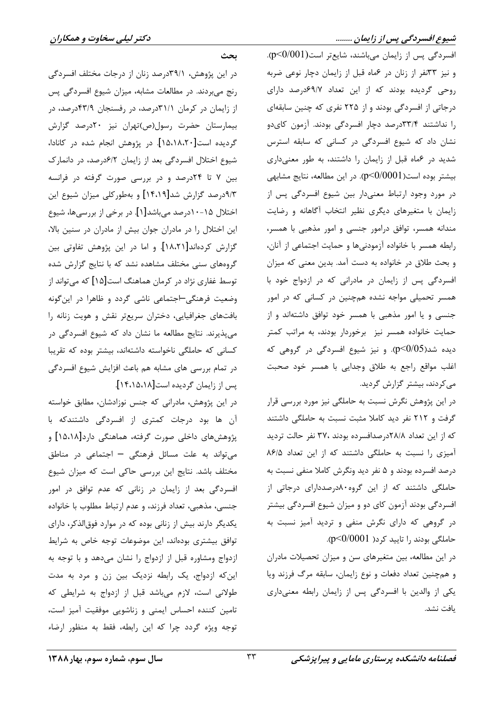#### شیوع افسردگی پس از زایمان ........

دکتر لیلی سخاوت و همکاران

افسردگی پس از زایمان میباشند، شایعتر است $(0.001)$ . و نیز ۳۳نفر از زنان در عماه قبل از زایمان دچار نوعی ضربه روحی گردیده بودند که از این تعداد ۶۹/۷درصد دارای درجاتی از افسردگی بودند و از ۲۲۵ نفری که چنین سابقهای را نداشتند ۳۳/۴درصد دچار افسردگی بودند. آزمون کایدو نشان داد که شیوع افسردگی در کسانی که سابقه استرس شدید در عماه قبل از زایمان را داشتند، به طور معنیداری بیشتر بوده است(0/0001)9٪. در این مطالعه، نتایج مشابهی در مورد وجود ارتباط معنیدار بین شیوع افسردگی پس از زایمان با متغیرهای دیگری نظیر انتخاب آگاهانه و رضایت مندانه همسر، توافق درامور جنسی و امور مذهبی با همسر، رابطه همسر با خانواده آزمودنیها و حمایت اجتماعی از آنان، و بحث طلاق در خانواده به دست آمد. بدین معنی که میزان افسردگی پس از زایمان در مادرانی که در ازدواج خود با همسر تحمیلی مواجه نشده همچنین در کسانی که در امور جنسی و یا امور مذهبی با همسر خود توافق داشتهاند و از حمایت خانواده همسر نیز برخوردار بودند، به مراتب کمتر دیده شد(0/05). و نیز شیوع افسردگی در گروهی که اغلب مواقع راجع به طلاق وجدايي با همسر خود صحبت می کردند، بیشتر گزارش گردید.

در این پژوهش نگرش نسبت به حاملگی نیز مورد بررسی قرار گرفت و ۲۱۲ نفر دید کاملا مثبت نسبت به حاملگی داشتند که از این تعداد ۲۸/۸درصدافسرده بودند ،۳۷ نفر حالت تردید آمیزی را نسبت به حاملگی داشتند که از این تعداد ۸۶/۵ درصد افسرده بودند و ۵ نفر دید ونگرش کاملا منفی نسبت به حاملگی داشتند که از این گروه۸۰درصددارای درجاتی از افسردگی بودند آزمون کای دو و میزان شیوع افسردگی بیشتر در گروهی که دارای نگرش منفی و تردید آمیز نسبت به حاملگی بودند را تایید کرد( p<0/0001).

در این مطالعه، بین متغیرهای سن و میزان تحصیلات مادران و همچنین تعداد دفعات و نوع زایمان، سابقه مرگ فرزند ویا یکی از والدین با افسردگی پس از زایمان رابطه معنیداری يافت نشد.

بحث

در این پژوهش، ۳۹/۱درصد زنان از درجات مختلف افسردگی رنج میبردند. در مطالعات مشابه، میزان شیوع افسردگی پس از زایمان در کرمان ۳۱/۱درصد، در رفسنجان ۴۳/۹درصد، در بیمارستان حضرت رسول(ص)تهران نیز ۲۰درصد گزارش گردیده است[۱۵،۱۸،۲۰]. در پژوهش انجام شده در کانادا، شیوع اختلال افسردگی بعد از زایمان ۶/۲درصد، در دانمارک بین ۷ تا ۲۴درصد و در بررسی صورت گرفته در فرانسه ۹/۳درصد گزارش شد[۱۴،۱۹] و بهطورکلی میزان شیوع این اختلال ۱۵-۱۰درصد میباشد[۱]. در برخی از بررسیها، شیوع این اختلال را در مادران جوان بیش از مادران در سنین بالا، گزارش کردهاند[۱۸،۲۱]. و اما در این پژوهش تفاوتی بین گروههای سنی مختلف مشاهده نشد که با نتایج گزارش شده توسط غفاری نژاد در کرمان هماهنگ است[۱۵] که میتواند از وضعیت فرهنگی-اجتماعی ناشی گردد و ظاهرا در این گونه بافتهای جغرافیایی، دختران سریعتر نقش و هویت زنانه را می پذیرند. نتایج مطالعه ما نشان داد که شیوع افسردگی در کسانی که حاملگی ناخواسته داشتهاند، بیشتر بوده که تقریبا در تمام بررسی های مشابه هم باعث افزایش شیوع افسردگی یس از زایمان گردیده است[۱۴،۱۵،۱۸].

در این پژوهش، مادرانی که جنس نوزادشان، مطابق خواسته آن ها بود درجات کمتری از افسردگی داشتندکه با پژوهشهای داخلی صورت گرفته، هماهنگی دارد[۱۵،۱۸] و می تواند به علت مسائل فرهنگی - اجتماعی در مناطق مختلف باشد. نتايج اين بررسي حاكي است كه ميزان شيوع افسردگی بعد از زایمان در زنانی که عدم توافق در امور جنسی، مذهبی، تعداد فرزند، و عدم ارتباط مطلوب با خانواده یکدیگر دارند بیش از زنانی بوده که در موارد فوقالذکر، دارای توافق بیشتری بودهاند، این موضوعات توجه خاص به شرایط ازدواج ومشاوره قبل از ازدواج را نشان میدهد و با توجه به این که ازدواج، یک رابطه نزدیک بین زن و مرد به مدت طولانی است، لازم میباشد قبل از ازدواج به شرایطی که تامین کننده احساس ایمنی و زناشویی موفقیت آمیز است، توجه ویژه گردد چرا که این رابطه، فقط به منظور ارضاء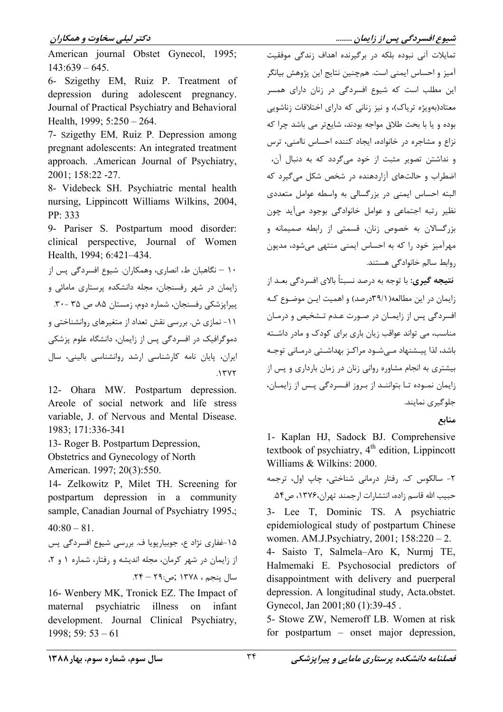### د کتر لیلی سخاوت و همکاران

American iournal Obstet Gynecol, 1995;  $143:639 - 645.$ 

6- Szigethy EM, Ruiz P. Treatment of depression during adolescent pregnancy. Journal of Practical Psychiatry and Behavioral Health, 1999; 5:250 - 264.

7- Szigethy EM, Ruiz P. Depression among pregnant adolescents: An integrated treatment approach. .American Journal of Psychiatry. 2001; 158:22 -27.

8- Videbeck SH. Psychiatric mental health nursing, Lippincott Williams Wilkins, 2004, PP: 333

9- Pariser S. Postpartum mood disorder: clinical perspective, Journal of Women Health, 1994; 6:421-434.

۱۰ – نگاهبان ط، انصاری، وهمکاران. شیوع افسردگی پس از زایمان در شهر رفسنجان، مجله دانشکده پرستاری مامائی و پیراپزشکی رفسنجان، شماره دوم، زمستان ۸۵، ص ۳۵ -۳۰. ١١- نمازي ش. بررسي نقش تعداد از متغيرهاي روانشناختي و دموگرافیک در افسردگی پس از زایمان، دانشگاه علوم پزشکی ایران، پایان نامه کارشناسی ارشد روانشناسی بالینی، سال  $.1$ ۳۷۲

12- Ohara MW. Postpartum depression. Areole of social network and life stress variable, J. of Nervous and Mental Disease. 1983; 171:336-341

13- Roger B. Postpartum Depression,

Obstetrics and Gynecology of North

American. 1997; 20(3):550.

14- Zelkowitz P, Milet TH. Screening for postpartum depression in a community sample, Canadian Journal of Psychiatry 1995.;  $40:80 - 81$ .

۱۵-غفاری نژاد ع، جوبیارپویا ف. بررسی شیوع افسردگی پس از زایمان در شهر کرمان، مجله اندیشه و رفتار، شماره ۱ و ۲، سال ينجم ، ١٣٧٨ ;ص:٢٩ - ٢٩.

16- Wenbery MK, Tronick EZ. The Impact of psychiatric illness maternal  $\Omega$ infant development. Journal Clinical Psychiatry,  $1998; 59: 53 - 61$ 

تمایلات آنی نبوده بلکه در برگیرنده اهداف زندگی موفقیت آميز و احساس ايمني است. همچنين نتايج اين پژوهش بيانگر این مطلب است که شیوع افسردگی در زنان دارای همسر معتاد(بهویژه تریاک)، و نیز زنانی که دارای اختلافات زناشویی بوده و يا با بحث طلاق مواجه بودند، شايعتر مي باشد چرا كه نزاع و مشاجره در خانواده، ایجاد کننده احساس ناامنی، ترس و نداشتن تصوير مثبت از خود مي گردد كه به دنبال آن، اضطراب و حالتهای آزاردهنده در شخص شکل می گیرد که البته احساس ایمنی در بزرگسالی به واسطه عوامل متعددی نظير رتبه اجتماعي و عوامل خانوادگي بوجود مي آيد چون بزرگسالان به خصوص زنان، قسمتی از رابطه صمیمانه و مهرآمیز خود را که به احساس ایمنی منتهی می شود، مدیون روابط سالم خانوادگی هستند.

شیوع افسردگی پس از زایمان ........

**نتیجه گیری:** با توجه به درصد نسبتاً بالای افسردگی بعــد از زایمان در این مطالعه(۳۹/۱-درصد) و اهمیت ایـن موضـوع کـه افسردگی پس از زایمـان در صـورت عـدم تـشخيص و درمـان مناسب، می تواند عواقب زیان باری برای کودک و مادر داشته باشد، لذا پیشنهاد مے شود مراکز بهداشتی درمانی توجه بیشتری به انجام مشاوره روانی زنان در زمان بارداری و پس از زایمان نمبوده تبا بتواننـد از بـروز افـسردگی پـس از زایمـان، جلوگیری نمایند.

منابع

1- Kaplan HJ, Sadock BJ, Comprehensive textbook of psychiatry,  $4<sup>th</sup>$  edition. Lippincott Williams & Wilkins: 2000.

٢- سالکوس ک. ,فتار درمانی شناختی، چاپ اول، ترجمه حبيب الله قاسم زاده، انتشارات ارجمند تهران،۱۳۷۶، ص۵۴. 3- Lee T, Dominic TS. A psychiatric epidemiological study of postpartum Chinese women. AM.J.Psychiatry, 2001; 158:220 - 2. 4- Saisto T, Salmela-Aro K, Nurmi TE, Halmemaki E. Psychosocial predictors of disappointment with delivery and puerperal depression. A longitudinal study, Acta.obstet. Gynecol, Jan 2001;80 (1):39-45. 5- Stowe ZW, Nemeroff LB. Women at risk

for postpartum  $-$  onset major depression,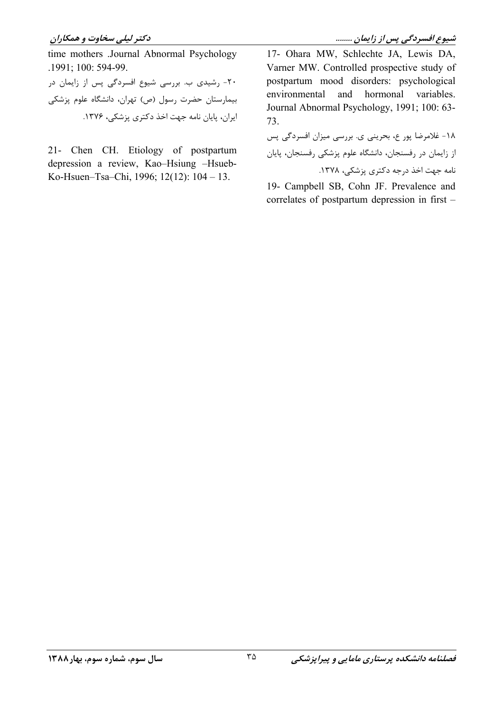time mothers .Journal Abnormal Psychology .1991; 100: 594-99. ۲۰- رشیدی ب. بررسی شیوع افسردگی پس از زایمان در بیمارستان حضرت رسول (ص) تهران، دانشگاه علوم پزشکی ایران، پایان نامه جهت اخذ دکتری پزشکی، ۱۳۷۶.

21- Chen CH. Etiology of postpartum depression a review, Kao-Hsiung -Hsueb-Ko-Hsuen-Tsa-Chi, 1996; 12(12): 104 - 13.

17- Ohara MW, Schlechte JA, Lewis DA, Varner MW. Controlled prospective study of postpartum mood disorders: psychological environmental and hormonal variables. Journal Abnormal Psychology, 1991; 100: 63-73.

١٨- غلامرضا پور ع، بحريني ي. بررسي ميزان افسردگي پس از زایمان در رفسنجان، دانشگاه علوم پزشکی رفسنجان، پایان نامه جهت اخذ درجه دکتری پزشکی، ۱۳۷۸.

19- Campbell SB, Cohn JF. Prevalence and correlates of postpartum depression in first –